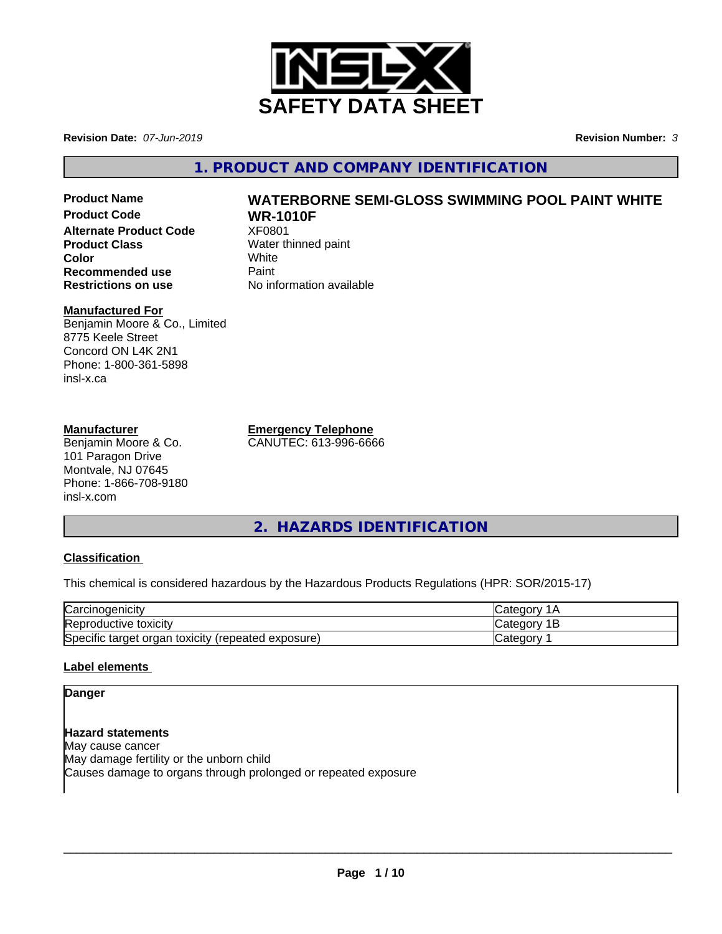

**Revision Date:** *07-Jun-2019* **Revision Number:** *3*

**1. PRODUCT AND COMPANY IDENTIFICATION**

**Product Code WR-1010F Alternate Product Code** XF0801 **Product Class** Water thinned paint **Color** White White **Recommended use** Paint<br> **Restrictions on use** No inf

# **Product Name WATERBORNE SEMI-GLOSS SWIMMING POOL PAINT WHITE**

**No information available** 

# **Manufactured For**

Benjamin Moore & Co., Limited 8775 Keele Street Concord ON L4K 2N1 Phone: 1-800-361-5898 insl-x.ca

#### **Manufacturer**

Benjamin Moore & Co. 101 Paragon Drive Montvale, NJ 07645 Phone: 1-866-708-9180 insl-x.com

**Emergency Telephone**

CANUTEC: 613-996-6666

**2. HAZARDS IDENTIFICATION**

# **Classification**

This chemical is considered hazardous by the Hazardous Products Regulations (HPR: SOR/2015-17)

| $\sim$<br>√arcin<br>., cinoaenıcıtv                                       | $\sim$<br>$\sim$ $\sim$ |
|---------------------------------------------------------------------------|-------------------------|
| Reproductive toxicity                                                     | ∩∩r<br>بەت<br>-         |
| Specific<br>exposure)<br>toxicity<br>target<br>organ<br><i>(repeated)</i> | <br>$\sim$<br>valtu     |

### **Label elements**

### **Danger**

**Hazard statements** May cause cancer May damage fertility or the unborn child Causes damage to organs through prolonged or repeated exposure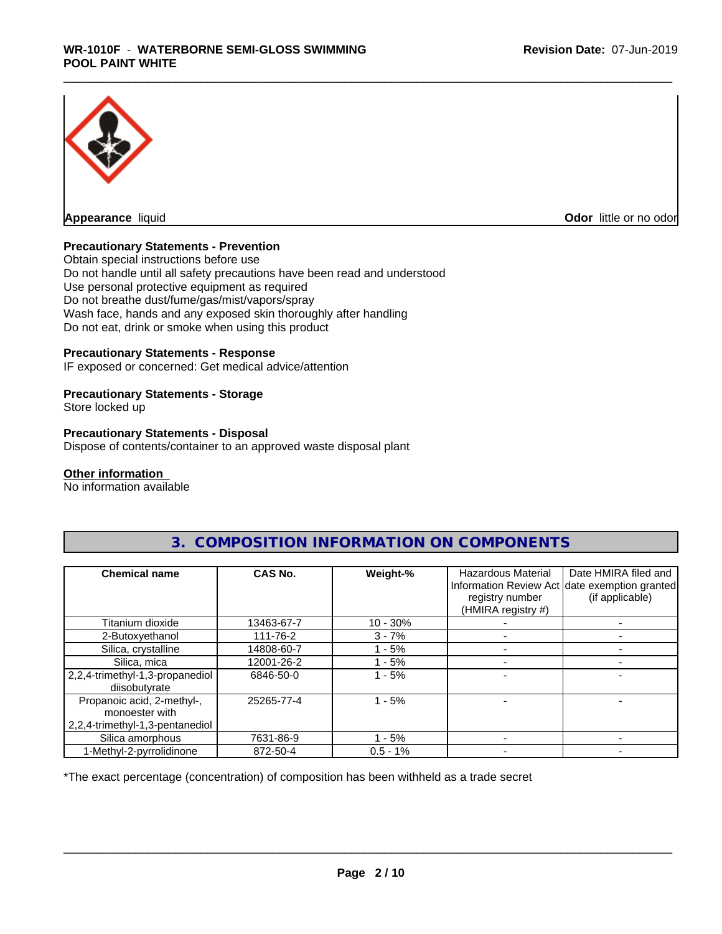

**Appearance** liquid **Odor in the original of the original of the original of the original of the original of the original of the original of the original of the original of the original of the original of the original of t** 

### **Precautionary Statements - Prevention**

Obtain special instructions before use Do not handle until all safety precautions have been read and understood Use personal protective equipment as required Do not breathe dust/fume/gas/mist/vapors/spray Wash face, hands and any exposed skin thoroughly after handling Do not eat, drink or smoke when using this product

#### **Precautionary Statements - Response**

IF exposed or concerned: Get medical advice/attention

#### **Precautionary Statements - Storage**

Store locked up

#### **Precautionary Statements - Disposal**

Dispose of contents/container to an approved waste disposal plant

#### **Other information**

No information available

| <b>Chemical name</b>                             | <b>CAS No.</b> | Weight-%   | <b>Hazardous Material</b><br>registry number<br>(HMIRA registry #) | Date HMIRA filed and<br>Information Review Act date exemption granted<br>(if applicable) |
|--------------------------------------------------|----------------|------------|--------------------------------------------------------------------|------------------------------------------------------------------------------------------|
| Titanium dioxide                                 | 13463-67-7     | $10 - 30%$ |                                                                    |                                                                                          |
| 2-Butoxyethanol                                  | 111-76-2       | $3 - 7%$   |                                                                    |                                                                                          |
| Silica, crystalline                              | 14808-60-7     | $-5%$      |                                                                    |                                                                                          |
| Silica, mica                                     | 12001-26-2     | $-5%$      |                                                                    |                                                                                          |
| 2,2,4-trimethyl-1,3-propanediol<br>diisobutyrate | 6846-50-0      | $-5%$      |                                                                    |                                                                                          |
| Propanoic acid, 2-methyl-,<br>monoester with     | 25265-77-4     | - 5%       |                                                                    |                                                                                          |
| 2,2,4-trimethyl-1,3-pentanediol                  |                |            |                                                                    |                                                                                          |
| Silica amorphous                                 | 7631-86-9      | $-5%$      |                                                                    |                                                                                          |
| 1-Methyl-2-pyrrolidinone                         | 872-50-4       | $0.5 - 1%$ |                                                                    |                                                                                          |

# **3. COMPOSITION INFORMATION ON COMPONENTS**

\*The exact percentage (concentration) of composition has been withheld as a trade secret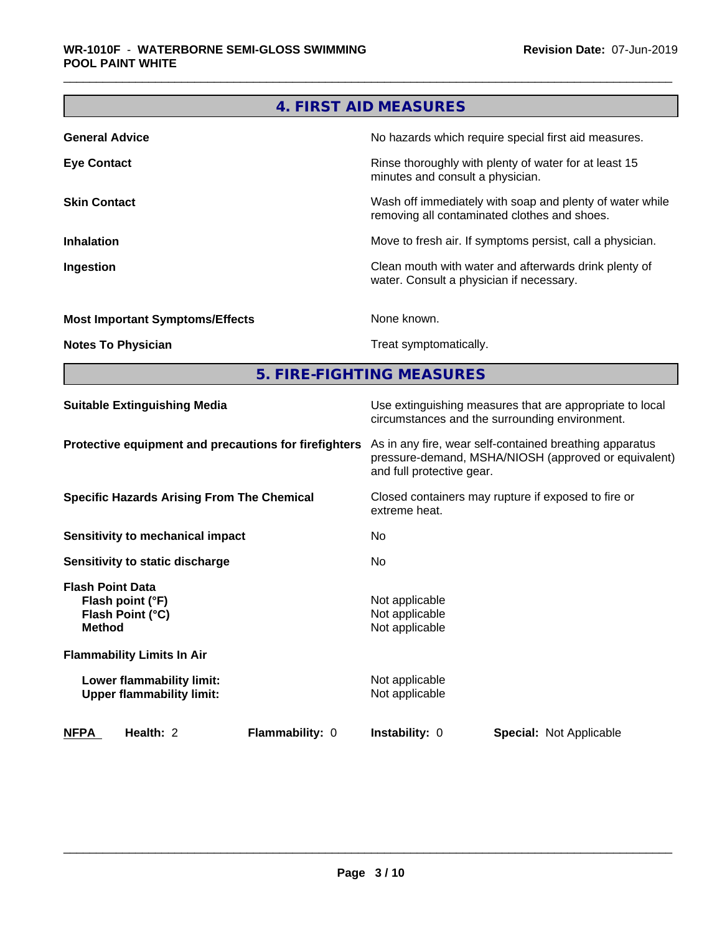|                                                                                  | 4. FIRST AID MEASURES                                                                                                                        |
|----------------------------------------------------------------------------------|----------------------------------------------------------------------------------------------------------------------------------------------|
| <b>General Advice</b>                                                            | No hazards which require special first aid measures.                                                                                         |
| <b>Eye Contact</b>                                                               | Rinse thoroughly with plenty of water for at least 15<br>minutes and consult a physician.                                                    |
| <b>Skin Contact</b>                                                              | Wash off immediately with soap and plenty of water while<br>removing all contaminated clothes and shoes.                                     |
| <b>Inhalation</b>                                                                | Move to fresh air. If symptoms persist, call a physician.                                                                                    |
| Ingestion                                                                        | Clean mouth with water and afterwards drink plenty of<br>water. Consult a physician if necessary.                                            |
| <b>Most Important Symptoms/Effects</b>                                           | None known.                                                                                                                                  |
| <b>Notes To Physician</b>                                                        | Treat symptomatically.                                                                                                                       |
|                                                                                  | 5. FIRE-FIGHTING MEASURES                                                                                                                    |
| <b>Suitable Extinguishing Media</b>                                              | Use extinguishing measures that are appropriate to local<br>circumstances and the surrounding environment.                                   |
| Protective equipment and precautions for firefighters                            | As in any fire, wear self-contained breathing apparatus<br>pressure-demand, MSHA/NIOSH (approved or equivalent)<br>and full protective gear. |
| <b>Specific Hazards Arising From The Chemical</b>                                | Closed containers may rupture if exposed to fire or<br>extreme heat.                                                                         |
| Sensitivity to mechanical impact                                                 | No                                                                                                                                           |
| <b>Sensitivity to static discharge</b>                                           | No                                                                                                                                           |
| <b>Flash Point Data</b><br>Flash point (°F)<br>Flash Point (°C)<br><b>Method</b> | Not applicable<br>Not applicable<br>Not applicable                                                                                           |
| <b>Flammability Limits In Air</b>                                                |                                                                                                                                              |
| Lower flammability limit:<br><b>Upper flammability limit:</b>                    | Not applicable<br>Not applicable                                                                                                             |
| Health: 2<br>Flammability: 0<br><b>NFPA</b>                                      | Instability: 0<br>Special: Not Applicable                                                                                                    |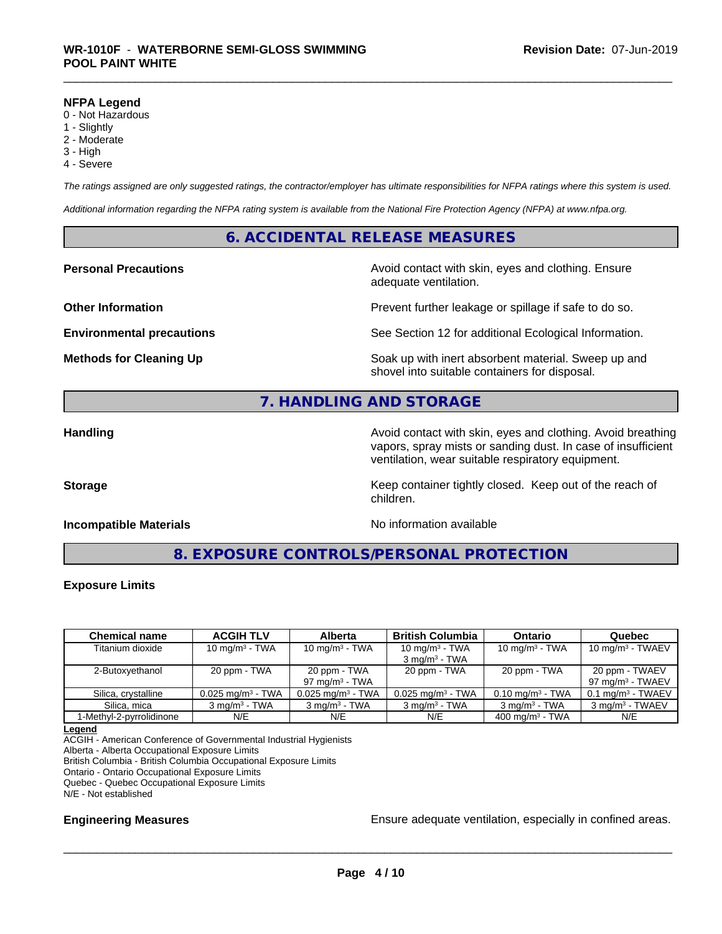#### **NFPA Legend**

- 0 Not Hazardous
- 1 Slightly
- 2 Moderate
- 3 High
- 4 Severe

*The ratings assigned are only suggested ratings, the contractor/employer has ultimate responsibilities for NFPA ratings where this system is used.*

*Additional information regarding the NFPA rating system is available from the National Fire Protection Agency (NFPA) at www.nfpa.org.*

# **6. ACCIDENTAL RELEASE MEASURES**

**Personal Precautions Avoid contact with skin, eyes and clothing. Ensure** Avoid contact with skin, eyes and clothing. Ensure adequate ventilation.

**Other Information Department Information Department Intervent further leakage or spillage if safe to do so.** 

**Environmental precautions** See Section 12 for additional Ecological Information.

**Methods for Cleaning Up Example 20 Soak** up with inert absorbent material. Sweep up and shovel into suitable containers for disposal.

# **7. HANDLING AND STORAGE**

**Handling Handling Avoid contact with skin, eyes and clothing. Avoid breathing H** vapors, spray mists or sanding dust. In case of insufficient ventilation, wear suitable respiratory equipment.

**Storage Keep container tightly closed. Keep out of the reach of Keep** container tightly closed. Keep out of the reach of

#### **Incompatible Materials Incompatible Materials No information available**

**8. EXPOSURE CONTROLS/PERSONAL PROTECTION**

children.

#### **Exposure Limits**

| <b>Chemical name</b>     | <b>ACGIH TLV</b>                | <b>Alberta</b>                    | <b>British Columbia</b>                      | <b>Ontario</b>                 | Quebec                                         |
|--------------------------|---------------------------------|-----------------------------------|----------------------------------------------|--------------------------------|------------------------------------------------|
| Titanium dioxide         | $10 \text{ mg/m}^3$ - TWA       | 10 mg/m $3$ - TWA                 | 10 $mq/m3$ - TWA<br>$3 \text{ mg/m}^3$ - TWA | 10 mg/m $3$ - TWA              | $10 \text{ mg/m}^3$ - TWAEV                    |
| 2-Butoxyethanol          | 20 ppm - TWA                    | 20 ppm - TWA<br>97 mg/m $3$ - TWA | 20 ppm - TWA                                 | 20 ppm - TWA                   | 20 ppm - TWAEV<br>97 mg/m <sup>3</sup> - TWAEV |
| Silica, crystalline      | $0.025$ mg/m <sup>3</sup> - TWA | $0.025$ mg/m <sup>3</sup> - TWA   | $0.025$ mg/m <sup>3</sup> - TWA              | $0.10$ mg/m <sup>3</sup> - TWA | $0.1$ mg/m <sup>3</sup> - TWAEV                |
| Silica, mica             | $3 \text{ ma/m}^3$ - TWA        | $3 \text{ ma/m}^3$ - TWA          | $3 \text{ ma/m}^3$ - TWA                     | $3 \text{ mg/m}^3$ - TWA       | 3 mg/m <sup>3</sup> - TWAEV                    |
| 1-Methyl-2-pyrrolidinone | N/E                             | N/E                               | N/E                                          | $400 \text{ ma/m}^3$ - TWA     | N/E                                            |

**Legend**

ACGIH - American Conference of Governmental Industrial Hygienists

Alberta - Alberta Occupational Exposure Limits

British Columbia - British Columbia Occupational Exposure Limits

Ontario - Ontario Occupational Exposure Limits

Quebec - Quebec Occupational Exposure Limits

N/E - Not established

**Engineering Measures Ensure** Ensure adequate ventilation, especially in confined areas.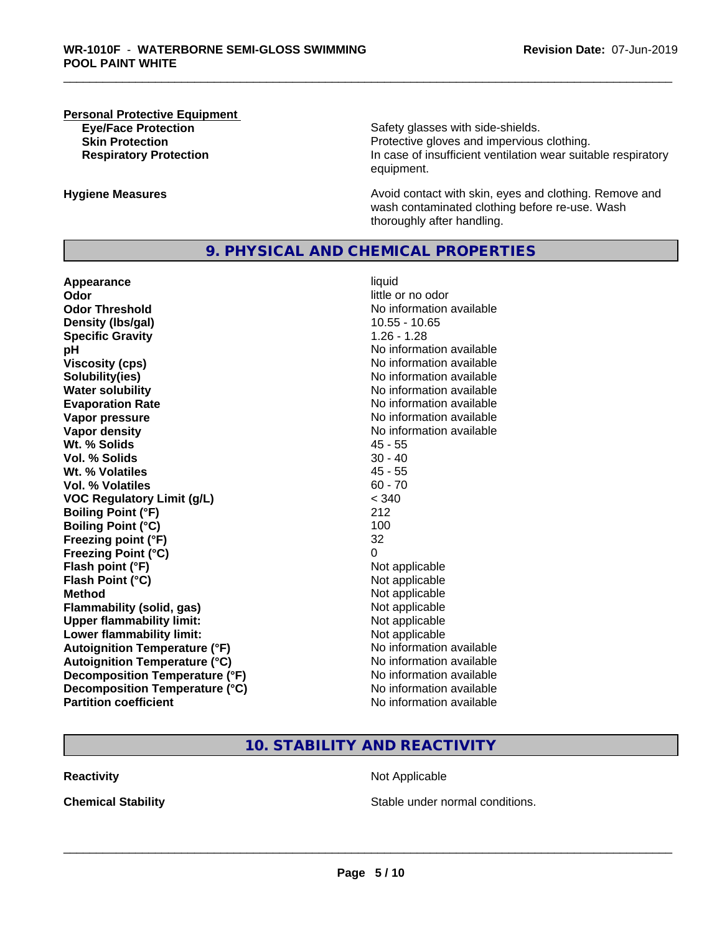#### **Personal Protective Equipment**

**Eye/Face Protection Safety glasses with side-shields. Skin Protection Protection Protective gloves and impervious clothing. Respiratory Protection In case of insufficient ventilation wear suitable respiratory** equipment.

**Hygiene Measures Avoid contact with skin, eyes and clothing. Remove and Avoid contact with skin, eyes and clothing. Remove and Avoid contact with skin, eyes and clothing. Remove and** wash contaminated clothing before re-use. Wash thoroughly after handling.

### **9. PHYSICAL AND CHEMICAL PROPERTIES**

**Appearance** liquid **Odor** little or no odor **Odor Threshold No information available Density (lbs/gal)** 10.55 - 10.65<br> **Specific Gravity** 1.26 - 1.28 **Specific Gravity pH** No information available **Viscosity (cps)** No information available **Solubility(ies)**<br> **Water solubility**<br> **Water solubility Evaporation Rate Evaporation Rate No information available Vapor pressure** No information available **Vapor density No information available No** information available **Wt. % Solids** 45 - 55 **Vol. % Solids** 30 - 40 **Wt. % Volatiles** 45 - 55 **Vol. % Volatiles** 60 - 70 **VOC Regulatory Limit (g/L)** < 340 **Boiling Point (°F)** 212 **Boiling Point (°C)** 100 **Freezing point (°F)** 32 **Freezing Point (°C)** 0 **Flash point (°F)** Not applicable **Flash Point (°C)** Not applicable **Method** Not applicable **Flammability (solid, gas)** Not applicable **Upper flammability limit:** Not applicable **Lower flammability limit:** Not applicable **Autoignition Temperature (°F)**<br> **Autoignition Temperature (°C)** No information available **Autoignition Temperature (°C) Decomposition Temperature (°F)** No information available **Decomposition Temperature (°C)** No information available **Partition coefficient Community Contract Contract Contract Contract Contract Contract Contract Contract Contract Contract Contract Contract Contract Contract Contract Contract Contract Contract Contract Contract Contr** 

**No information available** 

# **10. STABILITY AND REACTIVITY**

**Reactivity** Not Applicable

**Chemical Stability Stable under normal conditions.**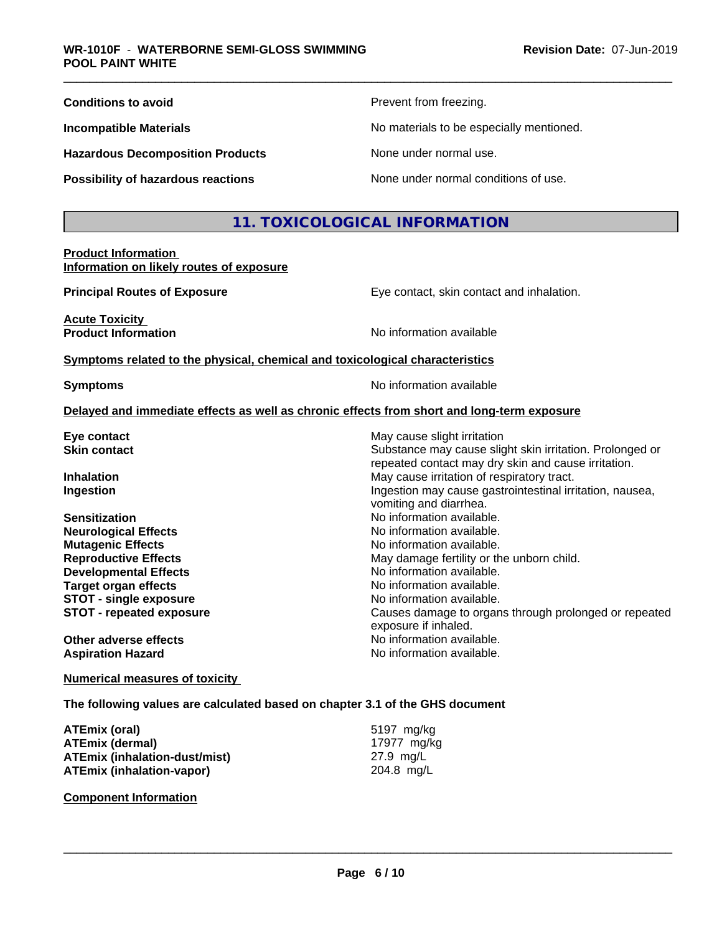| <b>Conditions to avoid</b>              | Prevent from freezing.                   |
|-----------------------------------------|------------------------------------------|
| <b>Incompatible Materials</b>           | No materials to be especially mentioned. |
| <b>Hazardous Decomposition Products</b> | None under normal use.                   |
| Possibility of hazardous reactions      | None under normal conditions of use.     |

# **11. TOXICOLOGICAL INFORMATION**

#### **Product Information Information on likely routes of exposure**

**Acute Toxicity** 

**Principal Routes of Exposure Exposure** Eye contact, skin contact and inhalation.

Substance may cause slight skin irritation. Prolonged or repeated contact may dry skin and cause irritation.

**STOT - repeated exposure** Causes damage to organs through prolonged or repeated

**Product Information Information No information available** 

#### **Symptoms related to the physical,chemical and toxicological characteristics**

**Symptoms** No information available

vomiting and diarrhea.

exposure if inhaled.

**No information available.** 

May damage fertility or the unborn child.<br>No information available.

#### **Delayed and immediate effects as well as chronic effects from short and long-term exposure**

**Eye contact Exercise Solution Exercise Solution** May cause slight irritation<br> **Substance may cause slight contact** 

**Inhalation** May cause irritation of respiratory tract. **Ingestion Ingestion Index is a linear in the line of the line of the line of the line of the line of the line of the line of the line of the line of the line of the line of the line of the line of the line of the line** 

**Sensitization**<br> **No** information available.<br> **No** information available.<br>
No information available. **Mutagenic Effects**<br> **Reproductive Effects**<br> **Reproductive Effects**<br> **Reproductive Effects Developmental Effects Target organ effects No information available. STOT** - single exposure<br> **STOT** - repeated exposure<br> **STOT** - repeated exposure<br> **STOT** - repeated exposure

**Other adverse effects** No information available. **Aspiration Hazard Aspiration Hazard No information available.** 

#### **Numerical measures of toxicity**

#### **The following values are calculated based on chapter 3.1 of the GHS document**

| ATEmix (oral)                        | 5197 mg/kg  |
|--------------------------------------|-------------|
| <b>ATEmix (dermal)</b>               | 17977 ma/ka |
| <b>ATEmix (inhalation-dust/mist)</b> | 27.9 ma/L   |
| <b>ATEmix (inhalation-vapor)</b>     | 204.8 mg/L  |

**Component Information**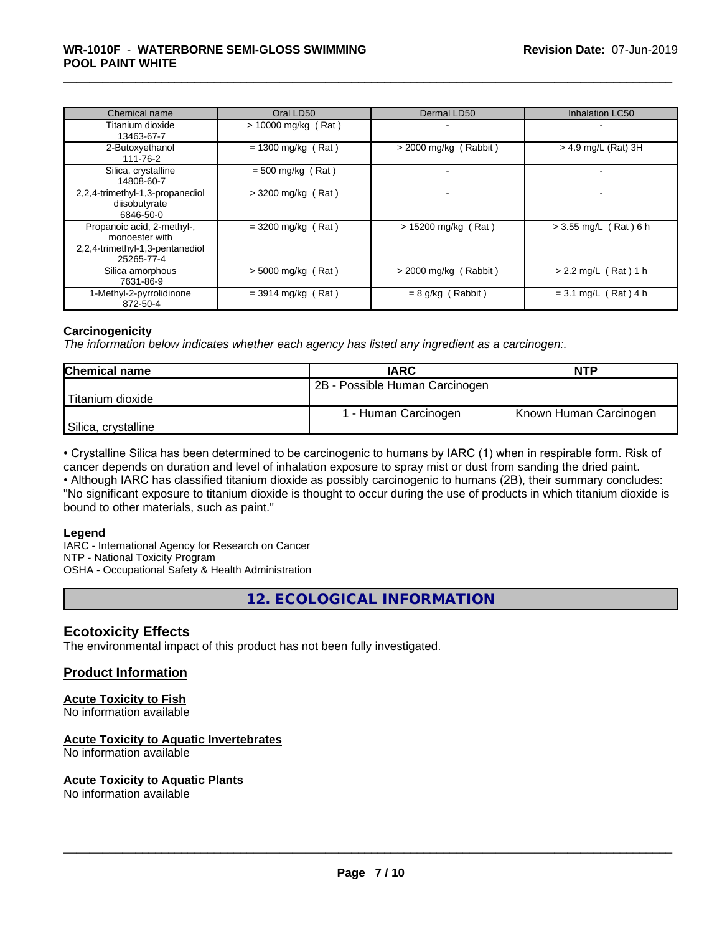| Chemical name                                                                                 | Oral LD50             | Dermal LD50             | <b>Inhalation LC50</b>  |
|-----------------------------------------------------------------------------------------------|-----------------------|-------------------------|-------------------------|
| Titanium dioxide<br>13463-67-7                                                                | $> 10000$ mg/kg (Rat) |                         |                         |
| 2-Butoxyethanol<br>111-76-2                                                                   | $= 1300$ mg/kg (Rat)  | $>$ 2000 mg/kg (Rabbit) | > 4.9 mg/L (Rat) 3H     |
| Silica, crystalline<br>14808-60-7                                                             | $= 500$ mg/kg (Rat)   |                         |                         |
| 2,2,4-trimethyl-1,3-propanediol<br>diisobutyrate<br>6846-50-0                                 | $>$ 3200 mg/kg (Rat)  |                         |                         |
| Propanoic acid, 2-methyl-,<br>monoester with<br>2,2,4-trimethyl-1,3-pentanediol<br>25265-77-4 | $=$ 3200 mg/kg (Rat)  | $> 15200$ mg/kg (Rat)   | $> 3.55$ mg/L (Rat) 6 h |
| Silica amorphous<br>7631-86-9                                                                 | $> 5000$ mg/kg (Rat)  | $>$ 2000 mg/kg (Rabbit) | $> 2.2$ mg/L (Rat) 1 h  |
| 1-Methyl-2-pyrrolidinone<br>872-50-4                                                          | $=$ 3914 mg/kg (Rat)  | $= 8$ g/kg (Rabbit)     | $= 3.1$ mg/L (Rat) 4 h  |

#### **Carcinogenicity**

*The information below indicateswhether each agency has listed any ingredient as a carcinogen:.*

| <b>Chemical name</b> | <b>IARC</b>                    | <b>NTP</b>             |
|----------------------|--------------------------------|------------------------|
|                      | 2B - Possible Human Carcinogen |                        |
| Titanium dioxide     |                                |                        |
|                      | 1 - Human Carcinogen           | Known Human Carcinogen |
| Silica, crystalline  |                                |                        |

• Crystalline Silica has been determined to be carcinogenic to humans by IARC (1) when in respirable form. Risk of cancer depends on duration and level of inhalation exposure to spray mist or dust from sanding the dried paint.

• Although IARC has classified titanium dioxide as possibly carcinogenic to humans (2B), their summary concludes: "No significant exposure to titanium dioxide is thought to occur during the use of products in which titanium dioxide is bound to other materials, such as paint."

#### **Legend**

IARC - International Agency for Research on Cancer NTP - National Toxicity Program OSHA - Occupational Safety & Health Administration

**12. ECOLOGICAL INFORMATION**

# **Ecotoxicity Effects**

The environmental impact of this product has not been fully investigated.

### **Product Information**

# **Acute Toxicity to Fish**

No information available

### **Acute Toxicity to Aquatic Invertebrates**

No information available

#### **Acute Toxicity to Aquatic Plants**

No information available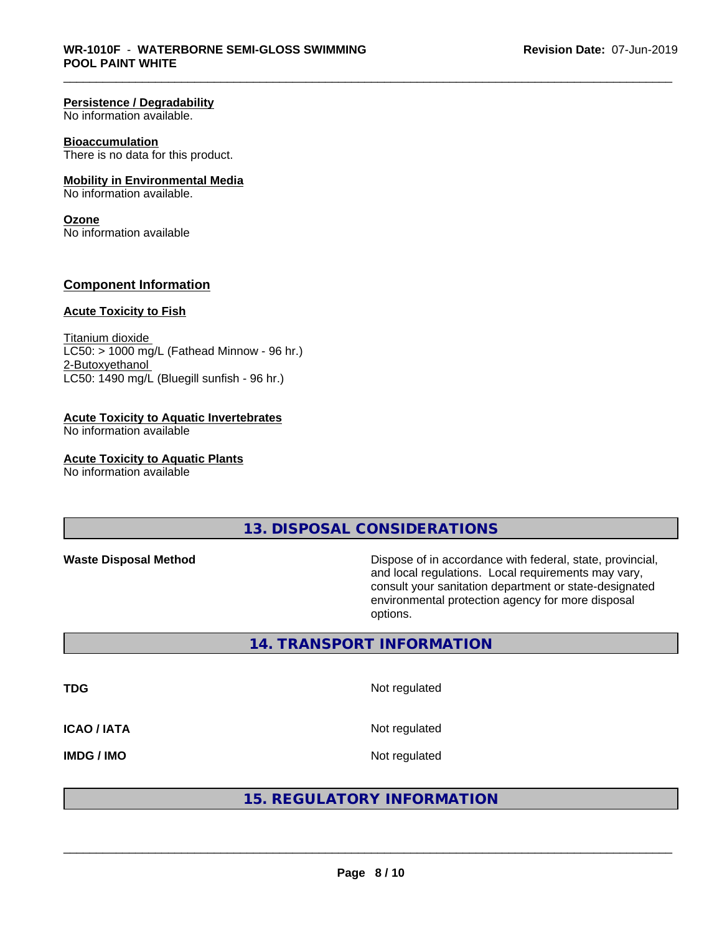#### **Persistence / Degradability**

No information available.

#### **Bioaccumulation**

There is no data for this product.

#### **Mobility in Environmental Media**

No information available.

#### **Ozone**

No information available

#### **Component Information**

#### **Acute Toxicity to Fish**

Titanium dioxide  $LC50:$  > 1000 mg/L (Fathead Minnow - 96 hr.) 2-Butoxyethanol LC50: 1490 mg/L (Bluegill sunfish - 96 hr.)

#### **Acute Toxicity to Aquatic Invertebrates**

No information available

#### **Acute Toxicity to Aquatic Plants**

No information available

# **13. DISPOSAL CONSIDERATIONS**

**Waste Disposal Method Dispose of in accordance with federal, state, provincial,** and local regulations. Local requirements may vary, consult your sanitation department or state-designated environmental protection agency for more disposal options.

# **14. TRANSPORT INFORMATION**

**TDG** Not regulated **ICAO / IATA** Not regulated

**IMDG / IMO** Not regulated

# **15. REGULATORY INFORMATION**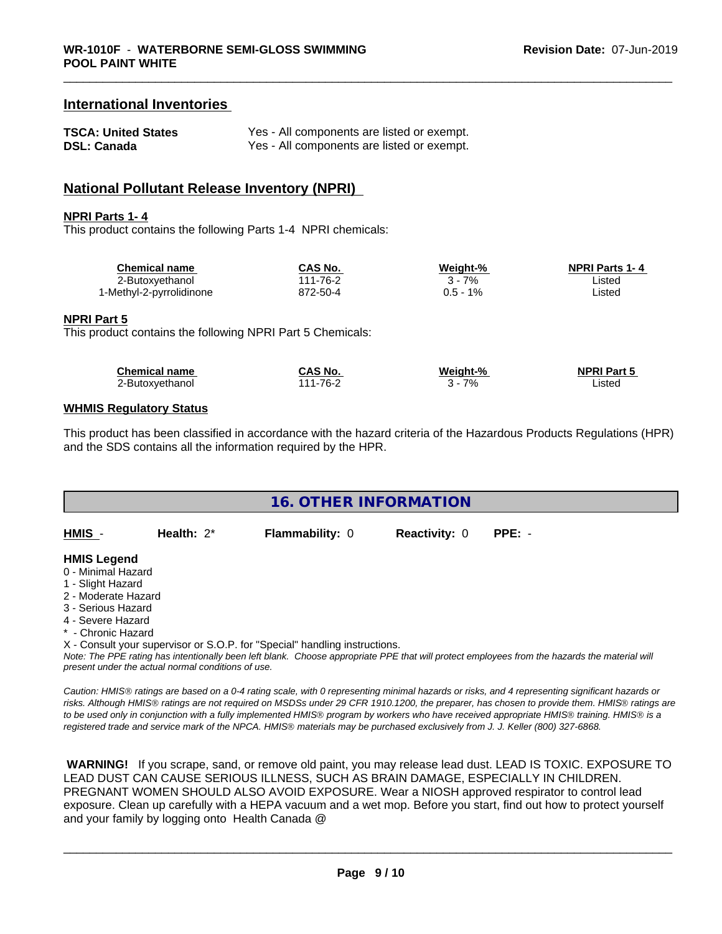# **International Inventories**

| <b>TSCA: United States</b> | Yes - All components are listed or exempt. |
|----------------------------|--------------------------------------------|
| <b>DSL: Canada</b>         | Yes - All components are listed or exempt. |

# **National Pollutant Release Inventory (NPRI)**

#### **NPRI Parts 1- 4**

This product contains the following Parts 1-4 NPRI chemicals:

| <b>Chemical name</b>     | CAS No.  | Weiaht-%    | <b>NPRI Parts 1-4</b> |  |
|--------------------------|----------|-------------|-----------------------|--|
| ∠-Butoxyethanol          | 111-76-2 | 7%          | .istec                |  |
| 1-Methyl-2-pyrrolidinone | 872-50-4 | 1%<br>J.5 - | .isted                |  |

#### **NPRI Part 5**

This product contains the following NPRI Part 5 Chemicals:

| <b>Chemical name</b> | CAS No.        | Weight-% | <b>NPRI Part 5</b> |
|----------------------|----------------|----------|--------------------|
| 2-Butoxyethanol      | $111 - 76 - ?$ | 7%       | .isted             |

#### **WHMIS Regulatory Status**

This product has been classified in accordance with the hazard criteria of the Hazardous Products Regulations (HPR) and the SDS contains all the information required by the HPR.

| <b>16. OTHER INFORMATION</b> |               |                                                                            |                      |                                                                                                                                               |  |
|------------------------------|---------------|----------------------------------------------------------------------------|----------------------|-----------------------------------------------------------------------------------------------------------------------------------------------|--|
|                              |               |                                                                            |                      |                                                                                                                                               |  |
| HMIS -                       | Health: $2^*$ | <b>Flammability: 0</b>                                                     | <b>Reactivity: 0</b> | $PPE: -$                                                                                                                                      |  |
| <b>HMIS Legend</b>           |               |                                                                            |                      |                                                                                                                                               |  |
| 0 - Minimal Hazard           |               |                                                                            |                      |                                                                                                                                               |  |
| 1 - Slight Hazard            |               |                                                                            |                      |                                                                                                                                               |  |
| 2 - Moderate Hazard          |               |                                                                            |                      |                                                                                                                                               |  |
| 3 - Serious Hazard           |               |                                                                            |                      |                                                                                                                                               |  |
| 4 - Severe Hazard            |               |                                                                            |                      |                                                                                                                                               |  |
| * - Chronic Hazard           |               |                                                                            |                      |                                                                                                                                               |  |
|                              |               | X - Consult your supervisor or S.O.P. for "Special" handling instructions. |                      |                                                                                                                                               |  |
|                              |               |                                                                            |                      | Note: The PPF rating has intentionally been left blank. Choose appropriate PPF that will protect employees from the hazards the material will |  |

*Note: The PPE rating has intentionally been left blank. Choose appropriate PPE that will protect employees from the hazards the material will present under the actual normal conditions of use.*

*Caution: HMISÒ ratings are based on a 0-4 rating scale, with 0 representing minimal hazards or risks, and 4 representing significant hazards or risks. Although HMISÒ ratings are not required on MSDSs under 29 CFR 1910.1200, the preparer, has chosen to provide them. HMISÒ ratings are to be used only in conjunction with a fully implemented HMISÒ program by workers who have received appropriate HMISÒ training. HMISÒ is a registered trade and service mark of the NPCA. HMISÒ materials may be purchased exclusively from J. J. Keller (800) 327-6868.*

 **WARNING!** If you scrape, sand, or remove old paint, you may release lead dust. LEAD IS TOXIC. EXPOSURE TO LEAD DUST CAN CAUSE SERIOUS ILLNESS, SUCH AS BRAIN DAMAGE, ESPECIALLY IN CHILDREN. PREGNANT WOMEN SHOULD ALSO AVOID EXPOSURE.Wear a NIOSH approved respirator to control lead exposure. Clean up carefully with a HEPA vacuum and a wet mop. Before you start, find out how to protect yourself and your family by logging onto Health Canada @